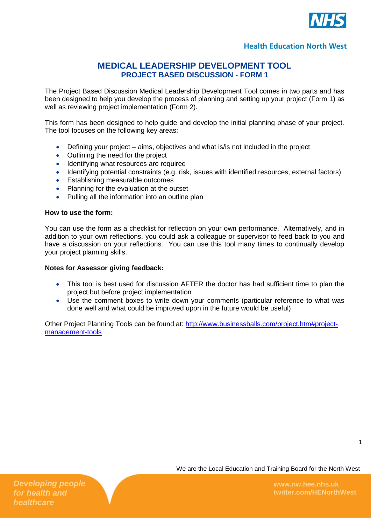

## **MEDICAL LEADERSHIP DEVELOPMENT TOOL PROJECT BASED DISCUSSION - FORM 1**

The Project Based Discussion Medical Leadership Development Tool comes in two parts and has been designed to help you develop the process of planning and setting up your project (Form 1) as well as reviewing project implementation (Form 2).

This form has been designed to help guide and develop the initial planning phase of your project. The tool focuses on the following key areas:

- Defining your project aims, objectives and what is/is not included in the project
- Outlining the need for the project
- Identifying what resources are required
- Identifying potential constraints (e.g. risk, issues with identified resources, external factors)
- Establishing measurable outcomes
- Planning for the evaluation at the outset
- Pulling all the information into an outline plan

### **How to use the form:**

You can use the form as a checklist for reflection on your own performance. Alternatively, and in addition to your own reflections, you could ask a colleague or supervisor to feed back to you and have a discussion on your reflections. You can use this tool many times to continually develop your project planning skills.

#### **Notes for Assessor giving feedback:**

- This tool is best used for discussion AFTER the doctor has had sufficient time to plan the project but before project implementation
- Use the comment boxes to write down your comments (particular reference to what was done well and what could be improved upon in the future would be useful)

Other Project Planning Tools can be found at: [http://www.businessballs.com/project.htm#project](http://www.businessballs.com/project.htm#project-management-tools)[management-tools](http://www.businessballs.com/project.htm#project-management-tools)

1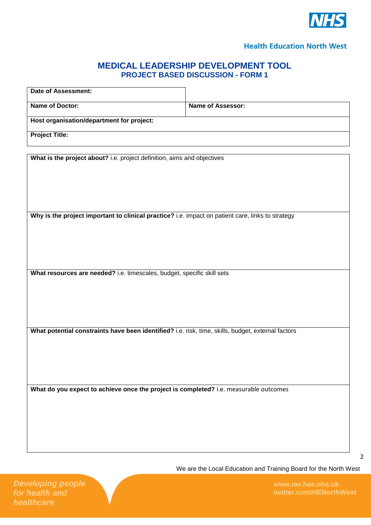

# **MEDICAL LEADERSHIP DEVELOPMENT TOOL PROJECT BASED DISCUSSION - FORM 1**

| <b>Date of Assessment:</b>                                                                         |                   |
|----------------------------------------------------------------------------------------------------|-------------------|
| Name of Doctor:                                                                                    | Name of Assessor: |
| Host organisation/department for project:                                                          |                   |
| <b>Project Title:</b>                                                                              |                   |
|                                                                                                    |                   |
| What is the project about? i.e. project definition, aims and objectives                            |                   |
|                                                                                                    |                   |
|                                                                                                    |                   |
|                                                                                                    |                   |
| Why is the project important to clinical practice? i.e. impact on patient care, links to strategy  |                   |
|                                                                                                    |                   |
|                                                                                                    |                   |
|                                                                                                    |                   |
| What resources are needed? i.e. timescales, budget, specific skill sets                            |                   |
|                                                                                                    |                   |
|                                                                                                    |                   |
|                                                                                                    |                   |
| What potential constraints have been identified? i.e. risk, time, skills, budget, external factors |                   |
|                                                                                                    |                   |
|                                                                                                    |                   |
|                                                                                                    |                   |
|                                                                                                    |                   |
| What do you expect to achieve once the project is completed? i.e. measurable outcomes              |                   |
|                                                                                                    |                   |
|                                                                                                    |                   |
|                                                                                                    |                   |
|                                                                                                    |                   |

2

We are the Local Education and Training Board for the North West

**twitter.com/HENorthWest**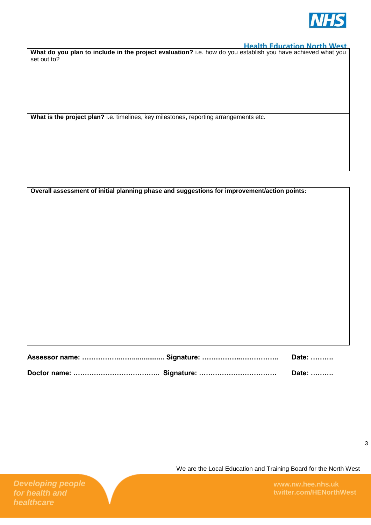

**What do you plan to include in the project evaluation?** i.e. how do you establish you have achieved what you set out to?

**What is the project plan?** i.e. timelines, key milestones, reporting arrangements etc.

|  | Overall assessment of initial planning phase and suggestions for improvement/action points: |  |  |  |  |
|--|---------------------------------------------------------------------------------------------|--|--|--|--|
|--|---------------------------------------------------------------------------------------------|--|--|--|--|

|  | Date: ………. |
|--|------------|

We are the Local Education and Training Board for the North West

**twitter.com/HENorthWest**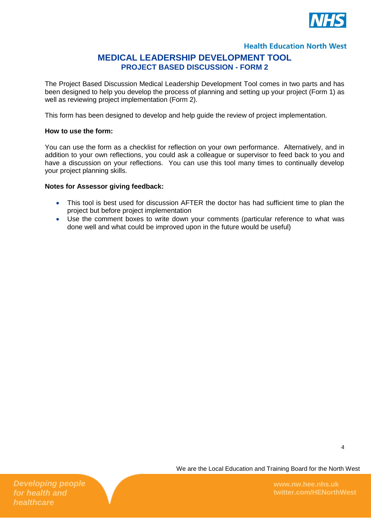

### **MEDICAL LEADERSHIP DEVELOPMENT TOOL PROJECT BASED DISCUSSION - FORM 2**

The Project Based Discussion Medical Leadership Development Tool comes in two parts and has been designed to help you develop the process of planning and setting up your project (Form 1) as well as reviewing project implementation (Form 2).

This form has been designed to develop and help quide the review of project implementation.

### **How to use the form:**

You can use the form as a checklist for reflection on your own performance. Alternatively, and in addition to your own reflections, you could ask a colleague or supervisor to feed back to you and have a discussion on your reflections. You can use this tool many times to continually develop your project planning skills.

### **Notes for Assessor giving feedback:**

- This tool is best used for discussion AFTER the doctor has had sufficient time to plan the project but before project implementation
- Use the comment boxes to write down your comments (particular reference to what was done well and what could be improved upon in the future would be useful)

We are the Local Education and Training Board for the North West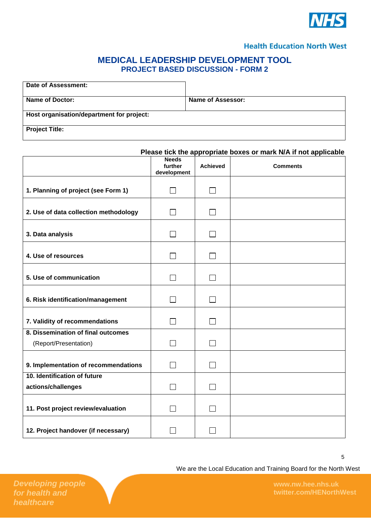

# **MEDICAL LEADERSHIP DEVELOPMENT TOOL PROJECT BASED DISCUSSION - FORM 2**

| Date of Assessment:                       |                   |
|-------------------------------------------|-------------------|
| Name of Doctor:                           | Name of Assessor: |
| Host organisation/department for project: |                   |
| <b>Project Title:</b>                     |                   |

|                                                             | Please tick the appropriate boxes or mark N/A if not applicable |                 |                 |
|-------------------------------------------------------------|-----------------------------------------------------------------|-----------------|-----------------|
|                                                             | <b>Needs</b><br>further<br>development                          | <b>Achieved</b> | <b>Comments</b> |
| 1. Planning of project (see Form 1)                         | $\Box$                                                          | $\Box$          |                 |
| 2. Use of data collection methodology                       | $\blacksquare$                                                  | $\Box$          |                 |
| 3. Data analysis                                            | $\blacksquare$                                                  | $\mathsf{I}$    |                 |
| 4. Use of resources                                         | П                                                               | $\Box$          |                 |
| 5. Use of communication                                     | $\sim$                                                          | $\mathsf{I}$    |                 |
| 6. Risk identification/management                           |                                                                 | $\mathsf{L}$    |                 |
| 7. Validity of recommendations                              | $\sim$                                                          | $\Box$          |                 |
| 8. Dissemination of final outcomes<br>(Report/Presentation) | П                                                               | П               |                 |
| 9. Implementation of recommendations                        | $\Box$                                                          | $\Box$          |                 |
| 10. Identification of future<br>actions/challenges          | $\sim$                                                          | $\mathsf{L}$    |                 |
| 11. Post project review/evaluation                          |                                                                 |                 |                 |
| 12. Project handover (if necessary)                         |                                                                 |                 |                 |

We are the Local Education and Training Board for the North West

5